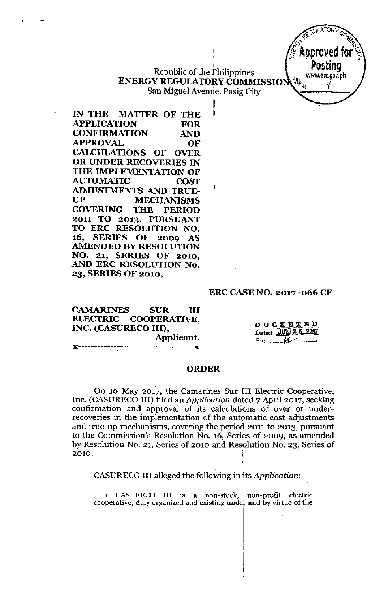### I Republic of the Philippines ENERGY REGULATORY COMMISSIO San Miguel Avenue, Pasig City

I

 $\overline{\phantom{a}}$ 

IN THE MATTER OF THE APPLICATION FOR CONFIRMATION AND APPROVAL OF CALCULATIONS OF OVER OR UNDER RECOVERIES IN THE IMPLEMENTATION OF AUTOMATIC COST ADJUSTMENTS AND TRUE-UP MECHANISMS COVERING THE PERIOD 2011 TO 2013, PURSUANT TO ERC RESOLUTION NO. 16, SERIES OF 2009 AS AMENDED BY RESOLUTION NO. 21, SERIES OF 2010, AND ERC RESOLUTION No. 23, SERIES OF 2010,

.' .---

#### ERC CASE NO. 2017 -066 CF

CAMARINES SUR III ELECTRIC COOPERATIVE, INC. (CASURECO III), Applicant. J(------------~---------------- "

**DOCKETED** Date: JUN 2 6 200 

GULATORY  $~\sim~$  $\epsilon_{\rm m}$   $\epsilon_{\rm m}$   $\epsilon_{\rm m}$ \pproved f

> Posting .' [www.erc.gov.ph](http://www.erc.gov.ph)

*;fi <sup>J</sup>* "~.~-1. J

#### ORDER

On 10 May 2017, the Camarines Sur III Electric Cooperative, Inc. (CASURECO III) filed an *Application* dated 7 April 2017, seeking confirmation and approval of its calculations of over or underrecoveries in the implementation of the automatic cost adjustments and true-up mechanisms, covering the period 2011 to 2013. pursuant to the Commission's Resolution No. 16, Series of 2009, as amended by Resolution No. 21, Series of 2010 and Resolution No. 23, Series of 2010.

CASURECO III alleged the following in its *Application*:

1. CASURECO III is a non-stock, non-profit electric cooperative, duly organized and existing under and by virtue of the

: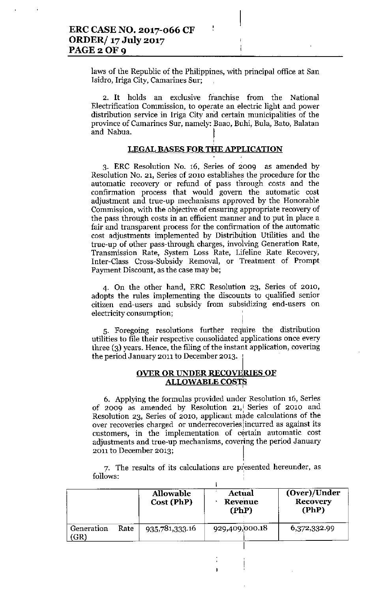laws of the Republic of the Philippines, with principal office at San Isidro, Iriga City, Camarines Sur;

ŀ

2. It holds an exclusive franchise from the National Electrification Commission, to operate an electric light and power distribution service in Iriga City an'd certain municipalities of the province of Camarines Sur, namely: Baao, Buhi, Bula, Bata, Balatan and Nabua.

### LEGAL BASES FOR THE APPLICATION

3. ERC Resolution No. 16, Series of 2009 as amended by Resolution No. 21, Series of 2010 establishes the procedure for the automatic recovery or refund of pass through costs and the confirmation process that would govern the automatic cost adjustment and true-up mechanisms approved by the Honorable Commission, with the objective of ensuring appropriate recovery of the pass through costs in an efficient manner and to put in place a fair and transparent process for the confirmation of the automatic cost adjustments implemented by Distribution Utilities and the true-up of other pass-through charges, involving Generation Rate, Transmission Rate, System Loss Rate, Lifeline Rate Recovery, Inter-Class Cross-Subsidy Removal, or Treatment of Prompt Payment Discount, as the case may be;

4. On the other hand, ERe Resolution 23, Series of 2010, adopts the rules implementing the discounts to qualified senior citizen end-users and subsidy from subsidizing end-users on electricity consumption;

5. Foregoing resolutions further require the distribution utilities to file their respective consolidated applications once every three (3) years. Hence, the filing of the instant application, covering the period January 2011 to December 2013.

### OVER OR UNDER RECOVERIES OF ALLOWABLE COSTS,

6. Applying the formulas provided under Resolution 16, Series of 2009 as amended by Resolution 21, Series of 2010 and Resolution 23, Series of 2010, applicant made calculations of the over recoveries charged or underrecoveries incurred as against its customers, in the implementation of certain automatic cost adjustments and true-up mechanisms, covering the period January 2011 to December 2013; I

7. The results of its calculations are presented hereunder, as follows:

I

,

 $\mathsf{l}$ 

|                   |      | <b>Allowable</b><br>Cost (PhP) | Actual<br>Revenue<br>(PhP) | (Over)/Under<br><b>Recovery</b><br>(PhP) |
|-------------------|------|--------------------------------|----------------------------|------------------------------------------|
| Generation<br>GR) | Rate | 935,781,333.16                 | 929,409,000.18             | 6,372,332.99                             |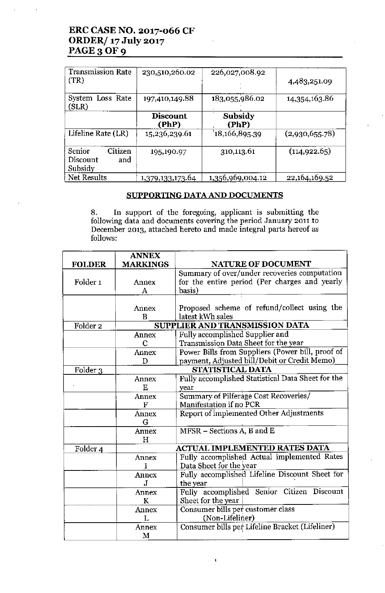# ERC CASE NO. 2017-066 CF ORDER/ 17 July 2017 PAGE 3 OF 9

| <b>Transmission Rate</b><br>(TR)                | 230,510,260.02           | 226,027,008.92   | 4,483,251.09   |
|-------------------------------------------------|--------------------------|------------------|----------------|
| System Loss Rate<br>(SLR)                       | 197,410,149.88           | 183,055,986.02   | 14,354,163.86  |
|                                                 | <b>Discount</b><br>(PhP) | Subsidy<br>(PhP) |                |
| Lifeline Rate (LR)                              | 15,236,239.61            | 18,166,895.39    | (2,930,655.78) |
| Citizen<br>Senior<br>Discount<br>and<br>Subsidy | 195,190.97               | 310,113.61       | (114, 922.65)  |
| Net Results                                     | 1,379,133,173.64         | 1,356,969,004.12 | 22,164,169.52  |

### SUPPORTING DATA AND DOCUMENTS

8. In support of the foregoing, applicant is submitting the following data and documents covering the period January 2011 to December 2013, attached hereto and made integral parts hereof as follows:

|                     | <b>ANNEX</b>    |                                                   |
|---------------------|-----------------|---------------------------------------------------|
| <b>FOLDER</b>       | <b>MARKINGS</b> | <b>NATURE OF DOCUMENT</b>                         |
|                     |                 | Summary of over/under recoveries computation      |
| Folder <sub>1</sub> | Annex           | for the entire period (Per charges and yearly     |
|                     | A               | basis)                                            |
|                     |                 |                                                   |
|                     | Annex           | Proposed scheme of refund/collect using the       |
|                     | B               | latest kWh sales                                  |
| Folder <sub>2</sub> |                 | SUPPLIER AND TRANSMISSION DATA                    |
|                     | Annex           | Fully accomplished Supplier and                   |
|                     | $\mathbf C$     | Transmission Data Sheet for the year              |
|                     | Annex           | Power Bills from Suppliers (Power bill, proof of  |
|                     | D               | payment, Adjusted bill/Debit or Credit Memo)      |
| Folder 3            |                 | STATISTICAL DATA                                  |
|                     | Annex           | Fully accomplished Statistical Data Sheet for the |
|                     | E               | year                                              |
|                     | Annex           | Summary of Pilferage Cost Recoveries/             |
|                     | F               | Manifestation if no PCR                           |
|                     | Annex           | Report of implemented Other Adjustments           |
|                     | G               |                                                   |
|                     | Annex           | MFSR - Sections A, B and E                        |
|                     | H               |                                                   |
| Folder 4            |                 | <b>ACTUAL IMPLEMENTED RATES DATA</b>              |
|                     | Annex           | Fully accomplished Actual implemented Rates       |
|                     | Ŧ               | Data Sheet for the year                           |
|                     | Annex           | Fully accomplished Lifeline Discount Sheet for    |
|                     | J               | the year                                          |
|                     | Annex           | Fully accomplished Senior Citizen Discount        |
|                     | K               | Sheet for the year                                |
|                     | Annex           | Consumer bills per customer class                 |
|                     | Τ.              | (Non-Lifeliner)                                   |
|                     | Annex           | Consumer bills per Lifeline Bracket (Lifeliner)   |
|                     | M               |                                                   |

 $\mathbf{I}$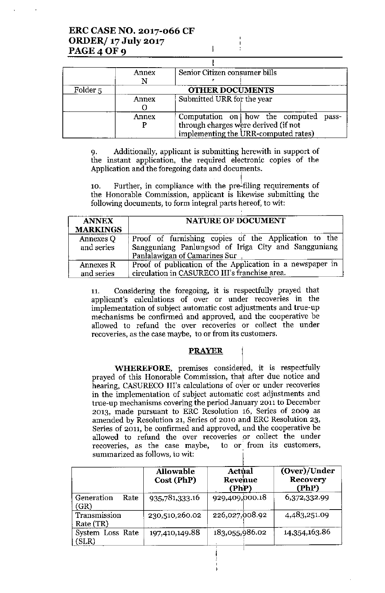|                     | Annex | Senior Citizen consumer bills            |  |  |
|---------------------|-------|------------------------------------------|--|--|
|                     |       |                                          |  |  |
| Folder <sub>5</sub> |       | <b>OTHER DOCUMENTS</b>                   |  |  |
|                     | Annex | Submitted URR for the year               |  |  |
|                     |       |                                          |  |  |
|                     | Annex | Computation on how the computed<br>pass- |  |  |
|                     |       | through charges were derived (if not     |  |  |
|                     |       | implementing the URR-computed rates)     |  |  |

 $\mathsf{I}$  $\overline{1}$ 

9. Additionally, applicant is submitting herewith in support of the instant application, the required electronic copies of the Application and the foregoing data and documents.

10. Further, in compliance with the pre-filing requirements of the Honorable Commission, applicant is likewise submitting the following documents, to form integral parts hereof, to wit:

| <b>ANNEX</b><br><b>MARKINGS</b> | <b>NATURE OF DOCUMENT</b>                                                                                                                     |  |  |
|---------------------------------|-----------------------------------------------------------------------------------------------------------------------------------------------|--|--|
| Annexes Q<br>and series         | Proof of furnishing copies of the Application to the<br>Sangguniang Panlungsod of Iriga City and Sangguniang<br>Panlalawigan of Camarines Sur |  |  |
| Annexes R<br>and series         | Proof of publication of the Application in a newspaper in<br>circulation in CASURECO III's franchise area.                                    |  |  |

11. Considering the foregoing, it is respectfully prayed that applicant's calculations of over or under recoveries in the implementation of subject automatic cost adjustments and true-up mechanisms be confirmed and approved, and the cooperative be allowed to refund the over recoveries or collect the under recoveries, as the case maybe, to or from its customers.

## **PRAYER**

WHEREFORE, premises considered, it is respectfully prayed of this Honorable Commission, that after due notice and hearing, CASURECO III's calculations of over or under recoveries in the implementation of subject automatic cost adjustments and true-up mechanisms covering the period January 2011 to December 2013, made pursuant to ERC Resolution 16, Series of 2009 as amended by Resolution 21, Series of 2010 and ERC Resolution 23, Series of 2011, be confirmed and approved, and the cooperative be allowed to refund the over recoveries or collect the under recoveries, as the case maybe, to or from its customers, summarized as follows, to wit:

|                            | <b>Allowable</b><br>Cost (PhP) | Actual<br>Revenue<br>(PhP) | (Over)/Under<br><b>Recovery</b><br>(PhP) |
|----------------------------|--------------------------------|----------------------------|------------------------------------------|
| Generation<br>Rate<br>(GR) | 935,781,333.16                 | 929,409,000.18             | 6,372,332.99                             |
| Transmission<br>Rate (TR)  | 230,510,260.02                 | 226,027,008.92             | 4,483,251.09                             |
| System Loss Rate<br>(SLR)  | 197,410,149.88                 | 183,055,986.02             | 14,354,163.86                            |

Į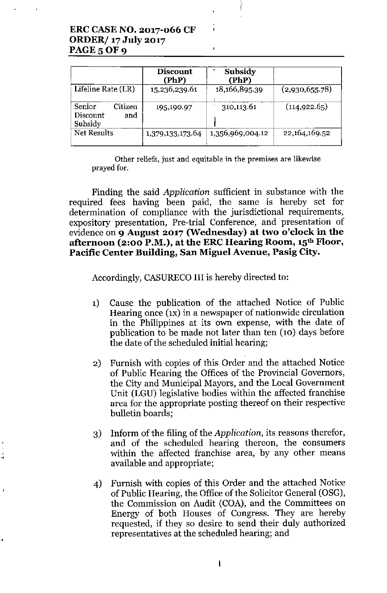# **ERCCASENO. 2017-066 CF ORDER/ 17 July 2017 PAGE 5 OF 9**

. •

ŧ

|                                                 | Discount<br>(PhP) | Subsidy<br>(PhP) |                |
|-------------------------------------------------|-------------------|------------------|----------------|
| Lifeline Rate (LR)                              | 15,236,239.61     | 18,166,895.39    | (2,930,655.78) |
| Citizen<br>Senior<br>Discount<br>and<br>Subsidy | 195,190.97        | 310,113.61       | (114, 922.65)  |
| Net Results                                     | 1,379,133,173.64  | 1,356,969,004.12 | 22,164,169.52  |

 $\mathbf{I}$ 

**Other reliefs, just and equitable in the premises are likewise** prayed for.

Finding the said *Application* sufficient in substance with the required fees having been paid, the same is hereby set for determination of compliance with the jurisdictional requirements, expository presentation, Pre-trial Conference, and presentation of evidence on **9 August 2017 (Wednesday) at two o'clock in the afternoon (2:00 P.M.), at the ERCHearing Room, 15th Floor, Pacific Center Building, San Miguel Avenue, Pasig City.**

Accordingly, CASURECO III is hereby directed to:

- 1) Cause the publication of the attached Notice of Public Hearing once (1x) in a newspaper of nationwide circulation in the Philippines at its own expense, with the date of publication to be made not later than ten (10) days before the date of the scheduled initial hearing;
- 2) Furnish with copies of this Order and the attached Notice of Public Hearing the Offices of the Provincial Governors, the City and Municipal Mayors, and the Local Government Unit (LGU) legislative bodies within the affected franchise area for the appropriate posting thereof on their respective bulletin boards;
- 3) Inform of the filing of the *Application,* its reasons therefor, and of the scheduled hearing thereon, the consumers within the affected franchise area, by any other means available and appropriate;
- 4) Furnish with copies of this Order and the attached Notice of Public Hearing, the Office of the Solicitor General (OSG), the Commission on Audit (COA), and the Committees on Energy of both Houses of Congress. They are hereby requested, if they so desire to send their duly authorized representatives at the scheduled hearing; and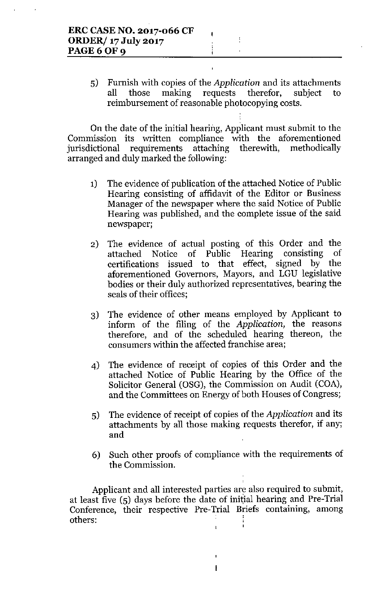5) Furnish with copies of the *Application* and its attachments all those making requests therefor, subject to reimbursement of reasonable photocopying costs.

ł.

 $\frac{1}{2}$ 

On the date of the initial hearing, Applicant must submit to the Commission its written compliance with the aforementioned jurisdictional requirements attaching therewith, methodically arranged and duly marked the following:

- 1) The evidence of publication of the attached Notice of Public Hearing consisting of affidavit of the Editor or Business Manager of the newspaper where the said Notice of Public Hearing was published, and the complete issue of the said newspaper;
- 2) The evidence of actual posting of this Order and the attached Notice of Public Hearing consisting of certifications issued to that effect, signed by the aforementioned Governors, Mayors, and LGU legislative bodies or their duly authorized representatives, bearing the seals of their offices;
- 3) The evidence of other means employed by Applicant to inform of the filing of the *Application,* the reasons therefore, and of the scheduled hearing thereon, the consumers within the affected franchise area;
- 4) The evidence of receipt of copies of this Order and the attached Notice of Public Hearing by the Office of the Solicitor General (OSG), the Commission on Audit (COA), and the Committees on Energy of both Houses of Congress;
- 5) The evidence of receipt of copies of the *Application* and its attachments by all those making requests therefor, if any; and
- 6) Such other proofs of compliance with the requirements of the Commission.

Applicant and all interested parties are also required to submit, at least five  $(5)$  days before the date of initial hearing and Pre-Trial Conference, their respective Pre-Trial Briefs containing, among others:

 $\mathbf{I}$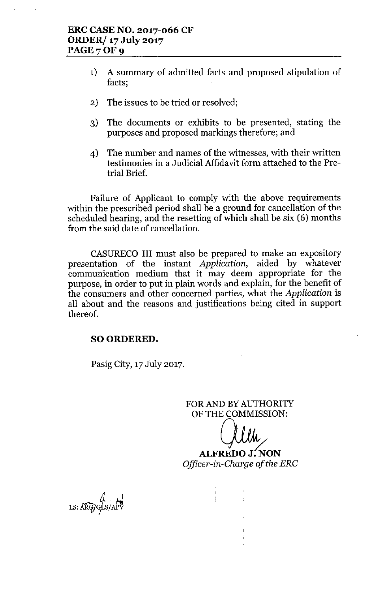- 1) A summary of admitted facts and proposed stipulation of facts;
- 2) The issues to be tried or resolved;
- 3) The documents or exhibits to be presented, stating the purposes and proposed markings therefore; and
- 4) The number and names of the witnesses, with their written testimonies in a Judicial Affidavit form attached to the Pretrial Brief.

Failure of Applicant to comply with the above requirements within the prescribed period shall be a ground for cancellation of the scheduled hearing, and the resetting of which shall be six (6) months from the said date of cancellation. .

CASURECO **III** must also be prepared to make an expository presentation of the instant *Application,* aided by whatever communication medium that it may deem appropriate for the purpose, in order to put in plain words and explain, for the benefit of the consumers and other concerned parties, what the *Application* is all about and the reasons and justifications being cited in support thereof.

## SO ORDERED.

Pasig City, 17 July 2017.

FOR AND BY AUTHORITY OF THE COMMISSION:

\<br>\_

**ALFREDO J?:ON** *Officer-in-Gha~ge of the ERG*

 $\bar{\Gamma}$ 

 $Ls: \widehat{\text{ARG}}/G/As/APV$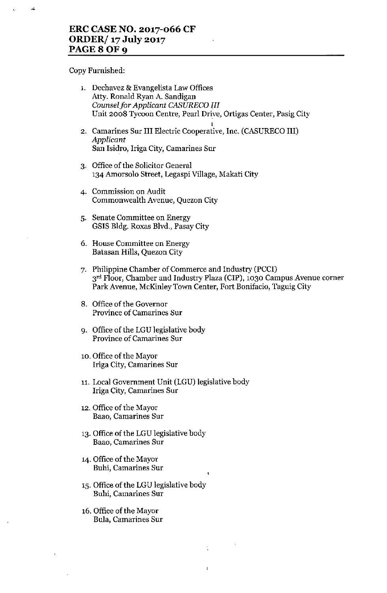# **ERC CASE NO. 2017-066 CF ORDER/ 17July 2017 PAGE 8 O**

Copy Furnished:

 $\vec{A}$ 

 $\epsilon_{\rm c}$ 

| 1. | Dechavez & Evangelista Law Offices<br>Atty. Ronald Ryan A. Sandigan<br>Counsel for Applicant CASURECO III<br>Unit 2008 Tycoon Centre, Pearl Drive, Ortigas Center, Pasig City                                 |
|----|---------------------------------------------------------------------------------------------------------------------------------------------------------------------------------------------------------------|
|    | 2. Camarines Sur III Electric Cooperative, Inc. (CASURECO III)<br>Applicant<br>San Isidro, Iriga City, Camarines Sur                                                                                          |
|    | 3. Office of the Solicitor General<br>134 Amorsolo Street, Legaspi Village, Makati City                                                                                                                       |
|    | 4. Commission on Audit<br>Commonwealth Avenue, Quezon City                                                                                                                                                    |
|    | 5. Senate Committee on Energy<br>GSIS Bldg. Roxas Blvd., Pasay City                                                                                                                                           |
|    | 6. House Committee on Energy<br>Batasan Hills, Quezon City                                                                                                                                                    |
|    | 7. Philippine Chamber of Commerce and Industry (PCCI)<br>3 <sup>rd</sup> Floor, Chamber and Industry Plaza (CIP), 1030 Campus Avenue corner<br>Park Avenue, McKinley Town Center, Fort Bonifacio, Taguig City |
|    | 8. Office of the Governor<br><b>Province of Camarines Sur</b>                                                                                                                                                 |
|    | 9. Office of the LGU legislative body<br><b>Province of Camarines Sur</b>                                                                                                                                     |
|    | 10. Office of the Mayor<br>Iriga City, Camarines Sur                                                                                                                                                          |
|    | 11. Local Government Unit (LGU) legislative body<br>Iriga City, Camarines Sur                                                                                                                                 |
|    | 12. Office of the Mayor<br>Baao, Camarines Sur                                                                                                                                                                |
|    | 13. Office of the LGU legislative body<br>Baao, Camarines Sur                                                                                                                                                 |
|    | 14. Office of the Mayor<br>Buhi, Camarines Sur<br>1                                                                                                                                                           |
|    | 15. Office of the LGU legislative body<br>Buhi, Camarines Sur                                                                                                                                                 |
|    | 16. Office of the Mayor<br><b>Bula, Camarines Sur</b>                                                                                                                                                         |
|    |                                                                                                                                                                                                               |

 $\mathcal{V}^{\pm}$ 

 $\ddot{\phantom{a}}$ 

 $\hat{\mathcal{L}}$